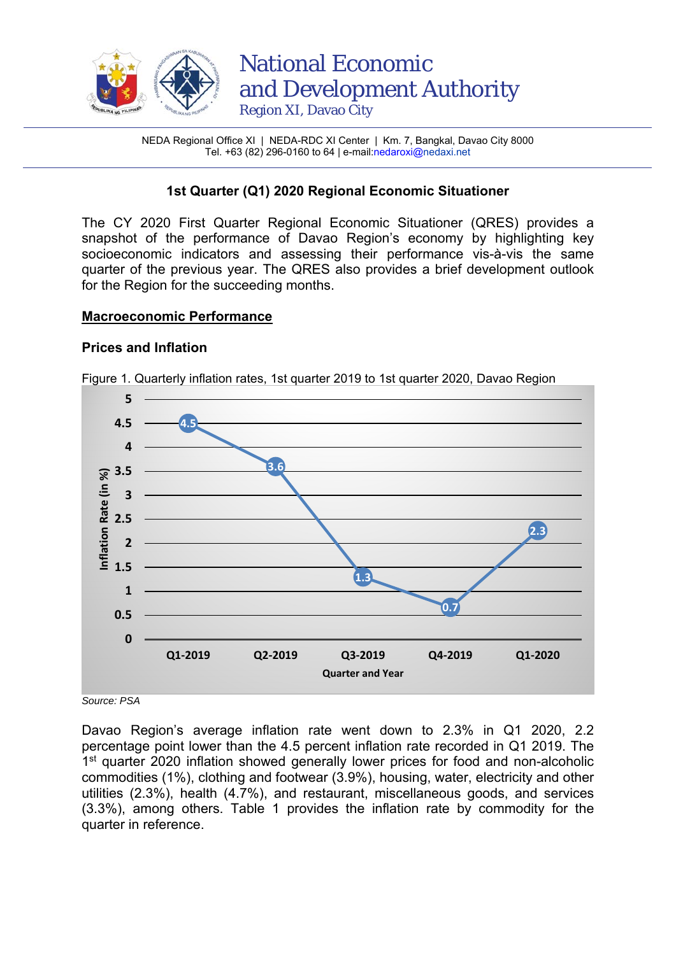

NEDA Regional Office XI | NEDA-RDC XI Center | Km. 7, Bangkal, Davao City 8000 Tel. +63 (82) 296-0160 to 64 | e-mail:nedaroxi@nedaxi.net

# **1st Quarter (Q1) 2020 Regional Economic Situationer**

The CY 2020 First Quarter Regional Economic Situationer (QRES) provides a snapshot of the performance of Davao Region's economy by highlighting key socioeconomic indicators and assessing their performance vis-à-vis the same quarter of the previous year. The QRES also provides a brief development outlook for the Region for the succeeding months.

#### **Macroeconomic Performance**

#### **Prices and Inflation**



Figure 1. Quarterly inflation rates, 1st quarter 2019 to 1st quarter 2020, Davao Region

*Source: PSA* 

Davao Region's average inflation rate went down to 2.3% in Q1 2020, 2.2 percentage point lower than the 4.5 percent inflation rate recorded in Q1 2019. The 1<sup>st</sup> quarter 2020 inflation showed generally lower prices for food and non-alcoholic commodities (1%), clothing and footwear (3.9%), housing, water, electricity and other utilities (2.3%), health (4.7%), and restaurant, miscellaneous goods, and services (3.3%), among others. Table 1 provides the inflation rate by commodity for the quarter in reference.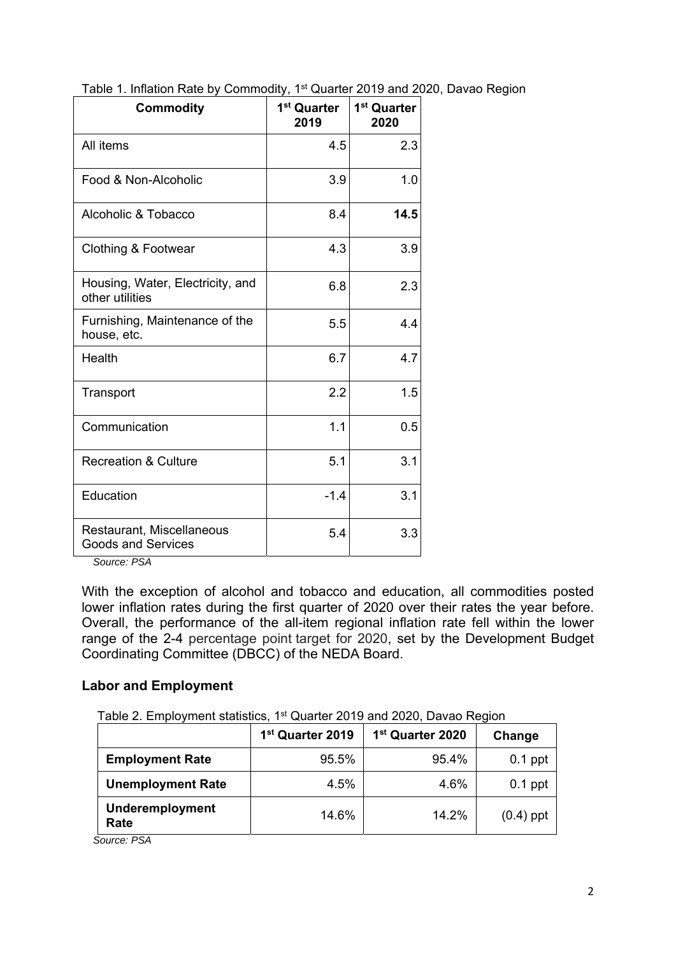| <b>Commodity</b>                                       | 1 <sup>st</sup> Quarter<br>2019 | 1 <sup>st</sup> Quarter<br>2020 |
|--------------------------------------------------------|---------------------------------|---------------------------------|
| All items                                              | 4.5                             | 2.3                             |
| Food & Non-Alcoholic                                   | 3.9                             | 1.0                             |
| Alcoholic & Tobacco                                    | 8.4                             | 14.5                            |
| Clothing & Footwear                                    | 4.3                             | 3.9                             |
| Housing, Water, Electricity, and<br>other utilities    | 6.8                             | 2.3                             |
| Furnishing, Maintenance of the<br>house, etc.          | 5.5                             | 4.4                             |
| Health                                                 | 6.7                             | 4.7                             |
| Transport                                              | 2.2                             | 1.5                             |
| Communication                                          | 1.1                             | 0.5                             |
| <b>Recreation &amp; Culture</b>                        | 5.1                             | 3.1                             |
| Education                                              | $-1.4$                          | 3.1                             |
| Restaurant, Miscellaneous<br><b>Goods and Services</b> | 5.4                             | 3.3                             |

Table 1. Inflation Rate by Commodity, 1<sup>st</sup> Quarter 2019 and 2020, Davao Region

 *Source: PSA* 

With the exception of alcohol and tobacco and education, all commodities posted lower inflation rates during the first quarter of 2020 over their rates the year before. Overall, the performance of the all-item regional inflation rate fell within the lower range of the 2-4 percentage point target for 2020, set by the Development Budget Coordinating Committee (DBCC) of the NEDA Board.

### **Labor and Employment**

Table 2. Employment statistics, 1<sup>st</sup> Quarter 2019 and 2020, Davao Region

|                          | 1 <sup>st</sup> Quarter 2019 | 1 <sup>st</sup> Quarter 2020 | Change      |
|--------------------------|------------------------------|------------------------------|-------------|
| <b>Employment Rate</b>   | 95.5%                        | 95.4%                        | $0.1$ ppt   |
| <b>Unemployment Rate</b> | 4.5%                         | 4.6%                         | $0.1$ ppt   |
| Underemployment<br>Rate  | 14.6%                        | 14.2%                        | $(0.4)$ ppt |

*Source: PSA*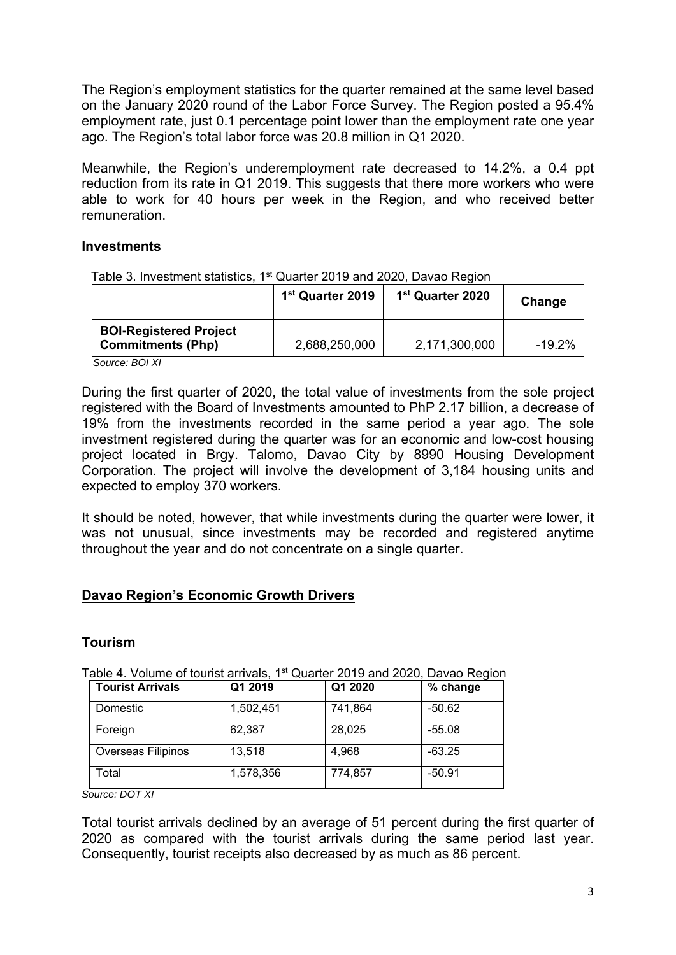The Region's employment statistics for the quarter remained at the same level based on the January 2020 round of the Labor Force Survey. The Region posted a 95.4% employment rate, just 0.1 percentage point lower than the employment rate one year ago. The Region's total labor force was 20.8 million in Q1 2020.

Meanwhile, the Region's underemployment rate decreased to 14.2%, a 0.4 ppt reduction from its rate in Q1 2019. This suggests that there more workers who were able to work for 40 hours per week in the Region, and who received better remuneration.

### **Investments**

| Table 3. Investment statistics, 1 <sup>st</sup> Quarter 2019 and 2020, Davao Region |  |  |
|-------------------------------------------------------------------------------------|--|--|
|                                                                                     |  |  |

|                                                           | 1 <sup>st</sup> Quarter 2019 | 1 <sup>st</sup> Quarter 2020 | Change |
|-----------------------------------------------------------|------------------------------|------------------------------|--------|
| <b>BOI-Registered Project</b><br><b>Commitments (Php)</b> | 2,688,250,000                | 2,171,300,000                | -19.2% |

*Source: BOI XI* 

During the first quarter of 2020, the total value of investments from the sole project registered with the Board of Investments amounted to PhP 2.17 billion, a decrease of 19% from the investments recorded in the same period a year ago. The sole investment registered during the quarter was for an economic and low-cost housing project located in Brgy. Talomo, Davao City by 8990 Housing Development Corporation. The project will involve the development of 3,184 housing units and expected to employ 370 workers.

It should be noted, however, that while investments during the quarter were lower, it was not unusual, since investments may be recorded and registered anytime throughout the year and do not concentrate on a single quarter.

# **Davao Region's Economic Growth Drivers**

### **Tourism**

| Table 4. Volume of tourist arrivals, 1 <sup>st</sup> Quarter 2019 and 2020, Davao Region |  |  |
|------------------------------------------------------------------------------------------|--|--|
|                                                                                          |  |  |

| <b>Tourist Arrivals</b> | Q1 2019   | Q1 2020 | % change |
|-------------------------|-----------|---------|----------|
| Domestic                | 1,502,451 | 741,864 | -50.62   |
| Foreign                 | 62,387    | 28,025  | $-55.08$ |
| Overseas Filipinos      | 13,518    | 4,968   | $-63.25$ |
| Total                   | 1,578,356 | 774,857 | $-50.91$ |

*Source: DOT XI* 

Total tourist arrivals declined by an average of 51 percent during the first quarter of 2020 as compared with the tourist arrivals during the same period last year. Consequently, tourist receipts also decreased by as much as 86 percent.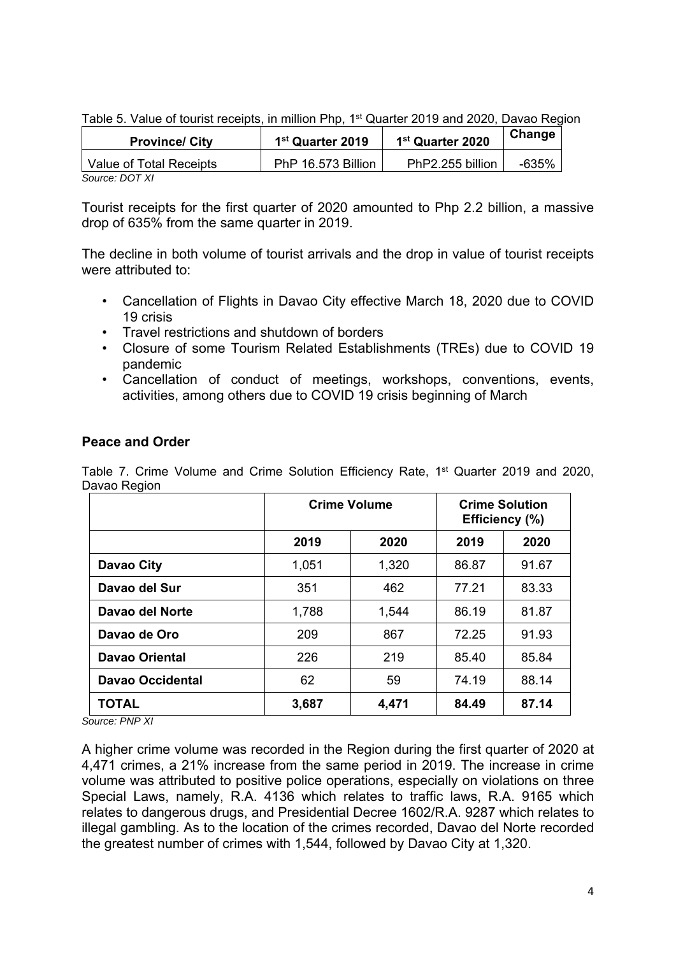|  |  |  | Table 5. Value of tourist receipts, in million Php, 1 <sup>st</sup> Quarter 2019 and 2020, Davao Region |  |  |
|--|--|--|---------------------------------------------------------------------------------------------------------|--|--|
|  |  |  |                                                                                                         |  |  |

| <b>Province/ City</b>   | 1 <sup>st</sup> Quarter 2019 | 1 <sup>st</sup> Quarter 2020 | Change |
|-------------------------|------------------------------|------------------------------|--------|
| Value of Total Receipts | PhP 16.573 Billion           | PhP2.255 billion             | -635%  |
| <b>COUROO' DOT VI</b>   |                              |                              |        |

*Source: DOT XI* 

Tourist receipts for the first quarter of 2020 amounted to Php 2.2 billion, a massive drop of 635% from the same quarter in 2019.

The decline in both volume of tourist arrivals and the drop in value of tourist receipts were attributed to:

- Cancellation of Flights in Davao City effective March 18, 2020 due to COVID 19 crisis
- Travel restrictions and shutdown of borders
- Closure of some Tourism Related Establishments (TREs) due to COVID 19 pandemic
- Cancellation of conduct of meetings, workshops, conventions, events, activities, among others due to COVID 19 crisis beginning of March

# **Peace and Order**

Table 7. Crime Volume and Crime Solution Efficiency Rate, 1<sup>st</sup> Quarter 2019 and 2020, Davao Region

|                         | <b>Crime Volume</b> |       | <b>Crime Solution</b><br>Efficiency (%) |       |  |
|-------------------------|---------------------|-------|-----------------------------------------|-------|--|
|                         | 2019                | 2020  | 2019                                    | 2020  |  |
| Davao City              | 1,051               | 1,320 | 86.87                                   | 91.67 |  |
| Davao del Sur           | 351                 | 462   | 77 21                                   | 83.33 |  |
| Davao del Norte         | 1,788               | 1,544 | 86.19                                   | 81.87 |  |
| Davao de Oro            | 209                 | 867   | 72.25                                   | 91.93 |  |
| <b>Davao Oriental</b>   | 226                 | 219   | 85.40                                   | 85.84 |  |
| <b>Davao Occidental</b> | 62                  | 59    | 74.19                                   | 88.14 |  |
| <b>TOTAL</b>            | 3,687<br>4,471      |       | 84.49                                   | 87.14 |  |

*Source: PNP XI* 

A higher crime volume was recorded in the Region during the first quarter of 2020 at 4,471 crimes, a 21% increase from the same period in 2019. The increase in crime volume was attributed to positive police operations, especially on violations on three Special Laws, namely, R.A. 4136 which relates to traffic laws, R.A. 9165 which relates to dangerous drugs, and Presidential Decree 1602/R.A. 9287 which relates to illegal gambling. As to the location of the crimes recorded, Davao del Norte recorded the greatest number of crimes with 1,544, followed by Davao City at 1,320.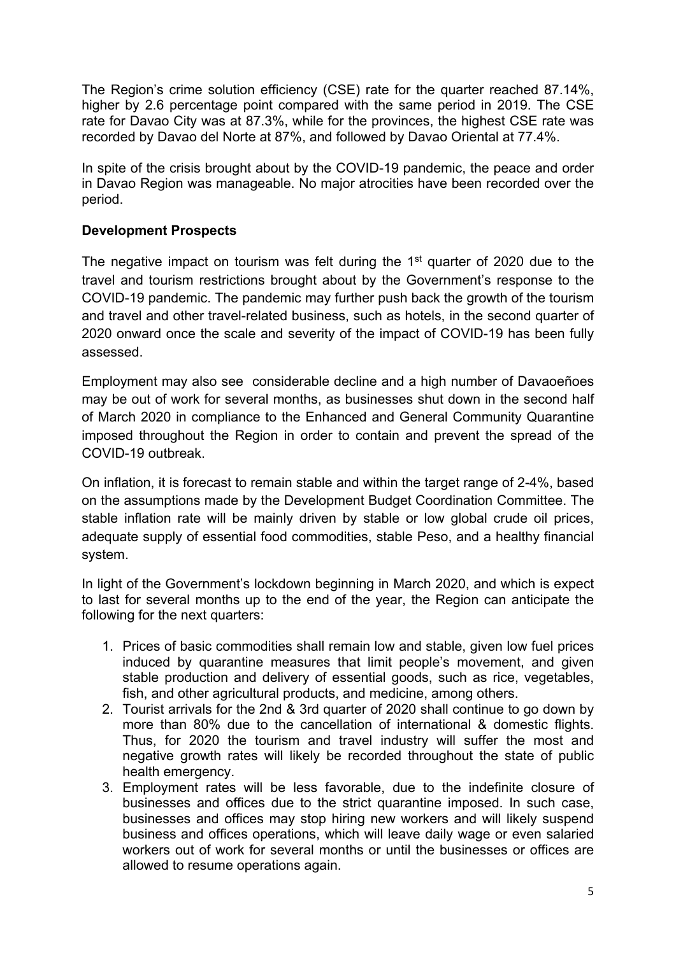The Region's crime solution efficiency (CSE) rate for the quarter reached 87.14%, higher by 2.6 percentage point compared with the same period in 2019. The CSE rate for Davao City was at 87.3%, while for the provinces, the highest CSE rate was recorded by Davao del Norte at 87%, and followed by Davao Oriental at 77.4%.

In spite of the crisis brought about by the COVID-19 pandemic, the peace and order in Davao Region was manageable. No major atrocities have been recorded over the period.

# **Development Prospects**

The negative impact on tourism was felt during the 1<sup>st</sup> quarter of 2020 due to the travel and tourism restrictions brought about by the Government's response to the COVID-19 pandemic. The pandemic may further push back the growth of the tourism and travel and other travel-related business, such as hotels, in the second quarter of 2020 onward once the scale and severity of the impact of COVID-19 has been fully assessed.

Employment may also see considerable decline and a high number of Davaoeñoes may be out of work for several months, as businesses shut down in the second half of March 2020 in compliance to the Enhanced and General Community Quarantine imposed throughout the Region in order to contain and prevent the spread of the COVID-19 outbreak.

On inflation, it is forecast to remain stable and within the target range of 2-4%, based on the assumptions made by the Development Budget Coordination Committee. The stable inflation rate will be mainly driven by stable or low global crude oil prices, adequate supply of essential food commodities, stable Peso, and a healthy financial system.

In light of the Government's lockdown beginning in March 2020, and which is expect to last for several months up to the end of the year, the Region can anticipate the following for the next quarters:

- 1. Prices of basic commodities shall remain low and stable, given low fuel prices induced by quarantine measures that limit people's movement, and given stable production and delivery of essential goods, such as rice, vegetables, fish, and other agricultural products, and medicine, among others.
- 2. Tourist arrivals for the 2nd & 3rd quarter of 2020 shall continue to go down by more than 80% due to the cancellation of international & domestic flights. Thus, for 2020 the tourism and travel industry will suffer the most and negative growth rates will likely be recorded throughout the state of public health emergency.
- 3. Employment rates will be less favorable, due to the indefinite closure of businesses and offices due to the strict quarantine imposed. In such case, businesses and offices may stop hiring new workers and will likely suspend business and offices operations, which will leave daily wage or even salaried workers out of work for several months or until the businesses or offices are allowed to resume operations again.